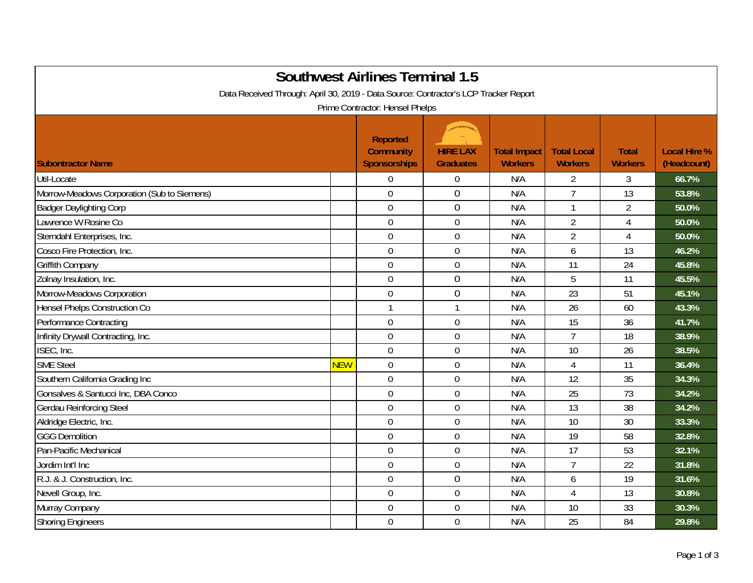| <b>Southwest Airlines Terminal 1.5</b><br>Data Received Through: April 30, 2019 - Data Source: Contractor's LCP Tracker Report<br>Prime Contractor: Hensel Phelps |            |                                                            |                                     |                                       |                                      |                                |                                    |  |
|-------------------------------------------------------------------------------------------------------------------------------------------------------------------|------------|------------------------------------------------------------|-------------------------------------|---------------------------------------|--------------------------------------|--------------------------------|------------------------------------|--|
| <b>Subontractor Name</b>                                                                                                                                          |            | <b>Reported</b><br><b>Community</b><br><b>Sponsorships</b> | <b>HIRE LAX</b><br><b>Graduates</b> | <b>Total Impact</b><br><b>Workers</b> | <b>Total Local</b><br><b>Workers</b> | <b>Total</b><br><b>Workers</b> | <b>Local Hire %</b><br>(Headcount) |  |
| Util-Locate                                                                                                                                                       |            | $\overline{0}$                                             | $\boldsymbol{0}$                    | N/A                                   | $\overline{2}$                       | 3                              | 66.7%                              |  |
| Morrow-Meadows Corporation (Sub to Siemens)                                                                                                                       |            | $\overline{0}$                                             | $\overline{0}$                      | N/A                                   | $\overline{7}$                       | 13                             | 53.8%                              |  |
| <b>Badger Daylighting Corp</b>                                                                                                                                    |            | $\overline{0}$                                             | 0                                   | N/A                                   | $\mathbf{1}$                         | $\overline{2}$                 | 50.0%                              |  |
| Lawrence W Rosine Co                                                                                                                                              |            | $\overline{0}$                                             | $\mathbf 0$                         | N/A                                   | $\overline{2}$                       | 4                              | 50.0%                              |  |
| Sterndahl Enterprises, Inc.                                                                                                                                       |            | $\mathbf 0$                                                | $\mathbf 0$                         | N/A                                   | $\overline{2}$                       | 4                              | 50.0%                              |  |
| Cosco Fire Protection, Inc.                                                                                                                                       |            | $\overline{0}$                                             | $\mathbf 0$                         | N/A                                   | 6                                    | 13                             | 46.2%                              |  |
| <b>Griffith Company</b>                                                                                                                                           |            | $\mathbf 0$                                                | $\boldsymbol{0}$                    | N/A                                   | 11                                   | 24                             | 45.8%                              |  |
| Zolnay Insulation, Inc.                                                                                                                                           |            | $\overline{0}$                                             | 0                                   | N/A                                   | 5                                    | 11                             | 45.5%                              |  |
| Morrow-Meadows Corporation                                                                                                                                        |            | $\mathbf 0$                                                | $\overline{0}$                      | N/A                                   | 23                                   | 51                             | 45.1%                              |  |
| <b>Hensel Phelps Construction Co</b>                                                                                                                              |            | $\mathbf{1}$                                               | $\mathbf{1}$                        | N/A                                   | 26                                   | 60                             | 43.3%                              |  |
| Performance Contracting                                                                                                                                           |            | $\mathbf 0$                                                | $\mathbf 0$                         | N/A                                   | 15                                   | 36                             | 41.7%                              |  |
| Infinity Drywall Contracting, Inc.                                                                                                                                |            | $\mathbf 0$                                                | $\mathbf 0$                         | N/A                                   | $\overline{7}$                       | 18                             | 38.9%                              |  |
| ISEC, Inc.                                                                                                                                                        |            | $\overline{0}$                                             | $\mathbf 0$                         | N/A                                   | 10                                   | 26                             | 38.5%                              |  |
| <b>SME Steel</b>                                                                                                                                                  | <b>NEW</b> | $\mathbf 0$                                                | $\boldsymbol{0}$                    | N/A                                   | $\overline{4}$                       | 11                             | 36.4%                              |  |
| Southern California Grading Inc                                                                                                                                   |            | $\mathbf 0$                                                | $\boldsymbol{0}$                    | N/A                                   | 12                                   | 35                             | 34.3%                              |  |
| Gonsalves & Santucci Inc, DBA Conco                                                                                                                               |            | $\overline{0}$                                             | $\mathbf 0$                         | N/A                                   | 25                                   | 73                             | 34.2%                              |  |
| <b>Gerdau Reinforcing Steel</b>                                                                                                                                   |            | $\mathbf 0$                                                | $\mathbf 0$                         | N/A                                   | 13                                   | 38                             | 34.2%                              |  |
| Aldridge Electric, Inc.                                                                                                                                           |            | $\mathbf 0$                                                | $\mathbf 0$                         | N/A                                   | 10                                   | 30                             | 33.3%                              |  |
| <b>GGG Demolition</b>                                                                                                                                             |            | $\overline{0}$                                             | $\mathbf 0$                         | N/A                                   | 19                                   | 58                             | 32.8%                              |  |
| Pan-Pacific Mechanical                                                                                                                                            |            | $\overline{0}$                                             | $\mathbf 0$                         | N/A                                   | 17                                   | 53                             | 32.1%                              |  |
| Jordim Int'l Inc                                                                                                                                                  |            | $\boldsymbol{0}$                                           | $\boldsymbol{0}$                    | N/A                                   | $\overline{7}$                       | 22                             | 31.8%                              |  |
| R.J. & J. Construction, Inc.                                                                                                                                      |            | $\mathbf 0$                                                | 0                                   | N/A                                   | 6                                    | 19                             | 31.6%                              |  |
| Nevell Group, Inc.                                                                                                                                                |            | $\mathbf 0$                                                | $\mathbf 0$                         | N/A                                   | $\overline{4}$                       | 13                             | 30.8%                              |  |
| Murray Company                                                                                                                                                    |            | $\overline{0}$                                             | $\mathbf 0$                         | N/A                                   | 10                                   | 33                             | 30.3%                              |  |
| <b>Shoring Engineers</b>                                                                                                                                          |            | $\overline{0}$                                             | $\mathbf 0$                         | N/A                                   | 25                                   | 84                             | 29.8%                              |  |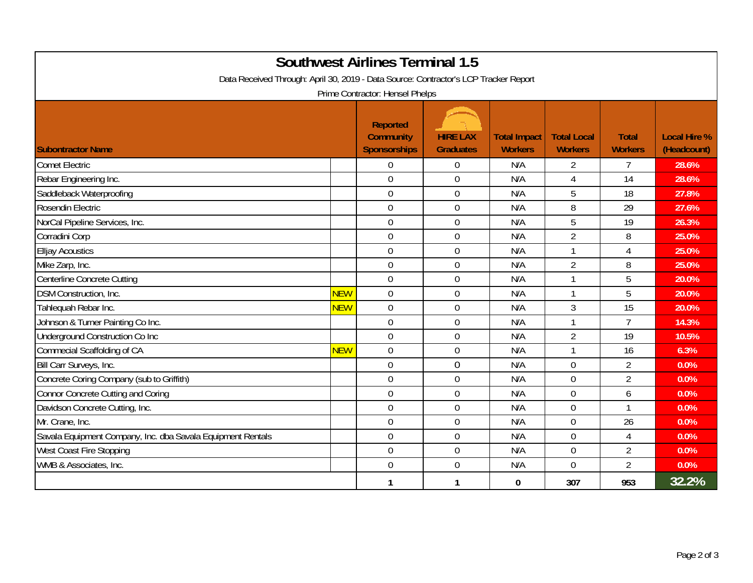| <b>Southwest Airlines Terminal 1.5</b>                                               |            |                                                     |                                     |                                       |                                      |                                |                                    |  |  |
|--------------------------------------------------------------------------------------|------------|-----------------------------------------------------|-------------------------------------|---------------------------------------|--------------------------------------|--------------------------------|------------------------------------|--|--|
| Data Received Through: April 30, 2019 - Data Source: Contractor's LCP Tracker Report |            |                                                     |                                     |                                       |                                      |                                |                                    |  |  |
| Prime Contractor: Hensel Phelps                                                      |            |                                                     |                                     |                                       |                                      |                                |                                    |  |  |
| <b>Subontractor Name</b>                                                             |            | <b>Reported</b><br><b>Community</b><br>Sponsorships | <b>HIRE LAX</b><br><b>Graduates</b> | <b>Total Impact</b><br><b>Workers</b> | <b>Total Local</b><br><b>Workers</b> | <b>Total</b><br><b>Workers</b> | <b>Local Hire %</b><br>(Headcount) |  |  |
| <b>Comet Electric</b>                                                                |            | $\Omega$                                            | $\overline{0}$                      | N/A                                   | $\overline{2}$                       | $\overline{7}$                 | 28.6%                              |  |  |
| Rebar Engineering Inc.                                                               |            | $\overline{0}$                                      | $\mathbf 0$                         | N/A                                   | $\overline{4}$                       | 14                             | 28.6%                              |  |  |
| Saddleback Waterproofing                                                             |            | $\mathbf 0$                                         | $\boldsymbol{0}$                    | N/A                                   | 5                                    | 18                             | 27.8%                              |  |  |
| Rosendin Electric                                                                    |            | $\overline{0}$                                      | $\mathbf 0$                         | N/A                                   | 8                                    | 29                             | 27.6%                              |  |  |
| NorCal Pipeline Services, Inc.                                                       |            | $\Omega$                                            | $\mathbf 0$                         | N/A                                   | 5                                    | 19                             | 26.3%                              |  |  |
| Corradini Corp                                                                       |            | $\overline{0}$                                      | $\mathbf 0$                         | N/A                                   | $\overline{2}$                       | 8                              | 25.0%                              |  |  |
| <b>Elljay Acoustics</b>                                                              |            | $\mathbf 0$                                         | $\mathbf 0$                         | N/A                                   | $\mathbf{1}$                         | 4                              | 25.0%                              |  |  |
| Mike Zarp, Inc.                                                                      |            | $\mathbf 0$                                         | $\mathbf 0$                         | N/A                                   | $\overline{2}$                       | 8                              | 25.0%                              |  |  |
| Centerline Concrete Cutting                                                          |            | $\overline{0}$                                      | $\mathbf 0$                         | N/A                                   | 1                                    | 5                              | 20.0%                              |  |  |
| DSM Construction, Inc.                                                               | <b>NEW</b> | $\overline{0}$                                      | $\mathbf 0$                         | N/A                                   |                                      | 5                              | 20.0%                              |  |  |
| Tahlequah Rebar Inc.                                                                 | <b>NEW</b> | $\overline{0}$                                      | $\mathbf 0$                         | N/A                                   | $\mathfrak{Z}$                       | 15                             | 20.0%                              |  |  |
| Johnson & Turner Painting Co Inc.                                                    |            | $\mathbf 0$                                         | $\boldsymbol{0}$                    | N/A                                   |                                      | $\overline{7}$                 | 14.3%                              |  |  |
| Underground Construction Co Inc                                                      |            | $\overline{0}$                                      | $\mathbf 0$                         | N/A                                   | $\overline{2}$                       | 19                             | 10.5%                              |  |  |
| Commecial Scaffolding of CA                                                          | <b>NEW</b> | $\mathbf 0$                                         | $\boldsymbol{0}$                    | N/A                                   | $\mathbf{1}$                         | 16                             | 6.3%                               |  |  |
| Bill Carr Surveys, Inc.                                                              |            | $\overline{0}$                                      | $\overline{0}$                      | N/A                                   | $\Omega$                             | $\overline{2}$                 | 0.0%                               |  |  |
| Concrete Coring Company (sub to Griffith)                                            |            | $\Omega$                                            | $\mathbf 0$                         | N/A                                   | $\overline{0}$                       | $\overline{2}$                 | 0.0%                               |  |  |
| Connor Concrete Cutting and Coring                                                   |            | $\overline{0}$                                      | $\boldsymbol{0}$                    | N/A                                   | $\overline{0}$                       | 6                              | 0.0%                               |  |  |
| Davidson Concrete Cutting, Inc.                                                      |            | $\overline{0}$                                      | $\overline{0}$                      | N/A                                   | $\Omega$                             | $\mathbf{1}$                   | 0.0%                               |  |  |
| Mr. Crane, Inc.                                                                      |            | $\mathbf 0$                                         | $\boldsymbol{0}$                    | N/A                                   | $\mathbf 0$                          | 26                             | 0.0%                               |  |  |
| Savala Equipment Company, Inc. dba Savala Equipment Rentals                          |            | $\mathbf 0$                                         | $\mathbf 0$                         | N/A                                   | $\overline{0}$                       | $\overline{4}$                 | 0.0%                               |  |  |
| West Coast Fire Stopping                                                             |            | $\overline{0}$                                      | $\boldsymbol{0}$                    | N/A                                   | $\overline{0}$                       | $\overline{2}$                 | 0.0%                               |  |  |
| WMB & Associates, Inc.                                                               |            | $\overline{0}$                                      | $\mathbf 0$                         | N/A                                   | $\overline{0}$                       | $\overline{2}$                 | 0.0%                               |  |  |
|                                                                                      |            | 1                                                   | 1                                   | 0                                     | 307                                  | 953                            | 32.2%                              |  |  |